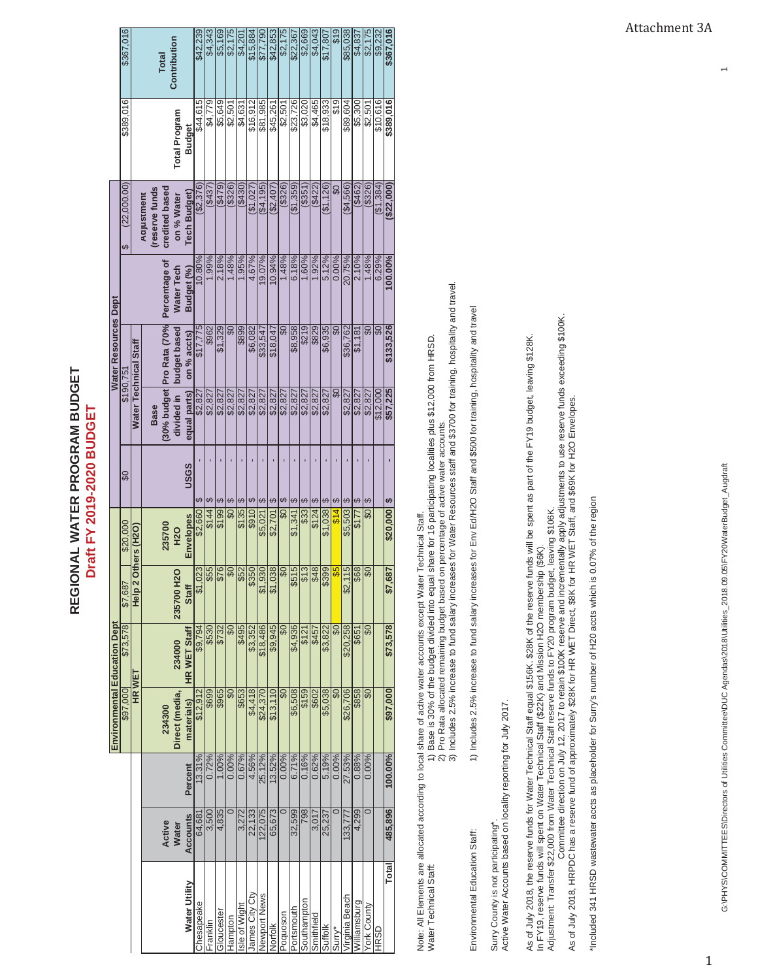| <u>ے</u><br>ح<br>Ξ<br>J<br>J<br>JOC<br>2<br>2<br><b>ATERI</b> | Ξ<br>ŝ |
|---------------------------------------------------------------|--------|
|                                                               |        |
|                                                               |        |

|                              | \$367,016                |                       |            |                | <b>Total</b>              | Contribution         |                     | \$42,239   | \$4,343  | \$5,169    | \$2,175                    | \$4,20        | \$15,884       | \$77,790     | \$42,853 | \$2,175                 | \$22,36    | \$2,669     | \$4,043    | \$17,80   | \$19                     | \$85,038                | \$4,83        | \$2,175                  | \$9,232                 |
|------------------------------|--------------------------|-----------------------|------------|----------------|---------------------------|----------------------|---------------------|------------|----------|------------|----------------------------|---------------|----------------|--------------|----------|-------------------------|------------|-------------|------------|-----------|--------------------------|-------------------------|---------------|--------------------------|-------------------------|
|                              |                          |                       |            |                |                           |                      |                     | \$44,615   | \$4,779  | \$5,649    | \$2,501                    | \$4,631       | \$16,912       | \$81,985     |          | \$2,501                 | \$23,726   | \$3,020     | \$4,465    | \$18,933  | \$19                     | \$89,604                | \$5,300       | \$2.50'                  | \$10,616                |
|                              | \$389,016                |                       |            |                |                           | <b>Total Program</b> | Budget              |            |          |            |                            |               |                |              | \$45,261 |                         |            |             |            |           |                          |                         |               |                          |                         |
|                              | (22,000.00)<br>မာ        |                       | Aajustment | (reserve funds | credited based            | on % Water           | <b>Tech Budget</b>  | (62, 376)  | (8437)   | (6479)     | (3326)                     | (\$430        | (91,027)       | ( \$4, 195]  | \$2,407  | (\$326)                 | ( \$1,359  | (\$351      | (1142)     | (\$1,126] | $\frac{6}{2}$            | (44,566)                | (\$462        | (3326)                   | ( \$1,384               |
|                              |                          |                       |            |                | Percentage of             | Water Tech           | Budget (%)          | 0.80%      | 1.99%    | 2.18%      | 1.48%                      | 1.95%         | 4.67%          | 19.07%       | 10.94%   | 1.48%                   | 6.18%      | 1.60%       | 1.92%      | 5.12%     | 0.00%                    | 20.75%                  | 2.10%         | 1.48%                    | 6.29%                   |
| Water Resources Dept         |                          | Water Technical Staff |            |                | (30% budget Pro Rata (70% | budget based         | on % accts)         | \$17.775   | \$962    | \$1,329    | $\overline{\mathcal{S}}$ O | \$89          | \$6,082        | \$33,547     | \$18,047 | $\overline{\mathbf{S}}$ | \$8,958    | \$219       | \$829      | \$6,935   | $\overline{\mathbf{60}}$ | \$36,762                | \$1,181       | $\overline{\mathbf{S}}$  | $\overline{\mathsf{S}}$ |
|                              | \$190.75                 |                       |            | <b>Base</b>    |                           | divided in           | equal parts)        | \$2,827    | \$2,827  | \$2,827    | \$2,827                    | \$2,827       | \$2,827        | \$2,827      | \$2,827  | \$2,827                 | \$2,827    | \$2,827     | \$2,827    | \$2,827   | $\frac{8}{2}$            | \$2,827                 | \$2,827       | \$2,827                  | \$12,000                |
|                              | $\overline{\mathbf{60}}$ |                       |            |                |                           |                      | ပဒေ                 |            | မာ       |            | G,                         | G,            |                | G,           | G,       | G,                      |            | ⊌.          |            | မာ        | ഗ                        |                         |               | မာ                       |                         |
|                              | \$20.000                 | Others (H2O)          |            |                | 235700                    | <b>H2O</b>           | <b>Envelopes</b>    | \$2,660    | \$144    | \$199      | $\overline{\mathsf{S}}$    | \$135         | 5910           | \$5,021      | \$2,701  | $\overline{\mathbf{S}}$ | \$1,341    | \$33        | \$124      | \$1,038   | \$14                     | \$5,503                 | $\frac{2}{5}$ | $\overline{\mathsf{S}}$  |                         |
|                              | \$7,687                  | Help <sub>2</sub>     |            |                |                           | O<br>235700 H2       | <b>Staff</b>        |            |          |            |                            |               |                |              |          |                         |            |             |            |           |                          | $\frac{15}{2}$<br>\$2,1 | 68            | $\sqrt{60}$              |                         |
|                              | \$73,578                 |                       |            |                |                           | 234000               | <b>HR WET Staff</b> | \$9,794    | \$530    | \$732      | $\overline{\mathsf{S}}$    | \$495         | \$3,352        | \$18,486     | \$9,945  | $\overline{\mathbf{S}}$ | \$4,936    | \$121       | \$457      | \$3,822   | $\overline{\mathbf{60}}$ | \$20,258                | \$651         | $\overline{\mathbf{60}}$ |                         |
| Environmental Education Dept | \$97,000                 | HR WET                |            |                | 234300                    | Direct (media,       | materials)          | \$12,912   | \$699    | \$965      | $\overline{\mathcal{S}}$   | \$653         | \$4,418        | \$24,370     | \$13,110 | $\overline{\mathbf{S}}$ | \$6,508    | \$159       | \$602      | \$5,038   | $\overline{60}$          | \$26,706                | \$858         | SO                       |                         |
|                              |                          |                       |            |                |                           |                      | Percent             | $3.31\%$   | 0.72%    | 1.00%      | 0.00%                      | 0.67%         | 4.56%          | 25.12%       | 13.52%   | 0.00%                   | 6.71%      | 0.16%       | 0.62%      | 5.19%     | 0.00%                    | 27.53%                  | 0.88%         | 0.00%                    |                         |
|                              |                          |                       |            |                | Active                    | <b>Water</b>         | <b>Accounts</b>     | 64,681     | 3,500    | 4,835      | $\overline{\circ}$         | 3,272         | 22,133         | 122,075      | 65,673   |                         | 32,599     | 798         | 3,017      | 25,237    | ਠ                        | 133,777                 | 4,299         | $\overline{\circ}$       |                         |
|                              |                          |                       |            |                |                           |                      | Water Utility       | Chesapeake | Franklin | Gloucester | Hampton                    | Isle of Wight | James City Cty | Newport News | Norfolk  | Poquoson                | Portsmouth | Southampton | Smithfield | Suffolk   | Surry*                   | Virginia Beach          | Williamsburg  | York County              | <b>HRSD</b>             |

Note: All Elements are allocated according to local share of active water accounts except Water Technical Staff. Note: All Elements are allocated according to local share of active water accounts except Water Technical Staff.

Water Technical Staff: 1) Base is 30% of the budget divided into equal share for 16 participating localities plus \$12,000 from HRSD. Water Technical Staff:

1) Base is 30% of the budget divided into equal share for 16 participating localities plus \$12,000 from HRSD.<br>2) Pro Rata allocated remaining budget based on percentage of active water accounts.<br>3) Includes 2.5% increase t 2) Pro Rata allocated remaining budget based on percentage of active water accounts.

3) Includes 2.5% increase to fund salary increases for Water Resources staff and \$3700 for training, hospitality and travel.

Environmental Education Staff: 1) Includes 2.5% increase to fund salary increases for Env Ed/H2O Staff and \$500 for training, hospitality and travel. Environmental Education Staff:

1) Includes 2.5% increase to fund salary increases for Erv Ed/H2O Staff and \$500 for training, hospitality and travel

Surry County is not participating\*.<br>Active Water Accounts based on locality reporting for July 2017. Active Water Accounts based on locality reporting for July 2017. Surry County is not participating\*.

As of July 2018, the reserve funds for Water Technical Staff equal \$156K. \$28K of the reserve funds will be spent as part of the FY19 budget, leaving \$128K.<br>In FY19, reserve funds will spent on Water Technical Staff (\$22K) As of July 2018, the reserve funds for Water Technical Staff equal \$156K. \$28K of the reserve funds will be spent as part of the FY19 budget, leaving \$128K. Adjustment: Transfer \$22,000 from Water Technical Staff reserve funds to FY20 program budget, leaving \$106K. In FY19, reserve funds will spent on Water Technical Staff (\$22K) and Mission H2O membership (\$6K).

Adjustment: Transfer \$22,000 from Water Technical Staff reserve funds to FY20 program budget, leaving \$106K.<br>Adjustment: Transfer \$22,000 from Water Technical Staff reserve funds to FY20 program budget, leaving \$106K.<br>As o Committee direction on July 12, 2017 to retain \$100K reserve and incrementally apply adjustments to use reserve funds exceeding \$100K.

As of July 2018, HRPDC has a reserve fund of approximately \$28K for HR WET Direct, \$8K for HR WET Staff, and \$69K for H2O Envelopes.

"Included 341 HRSD wastewater accts as placeholder for Surry's number of H20 accts which is 0.07% of the region \*Included 341 HRSD wastewater accts as placeholder for Surry's number of H20 accts which is 0.07% of the region  $\leftarrow$ 

 $\mathbf{1}$